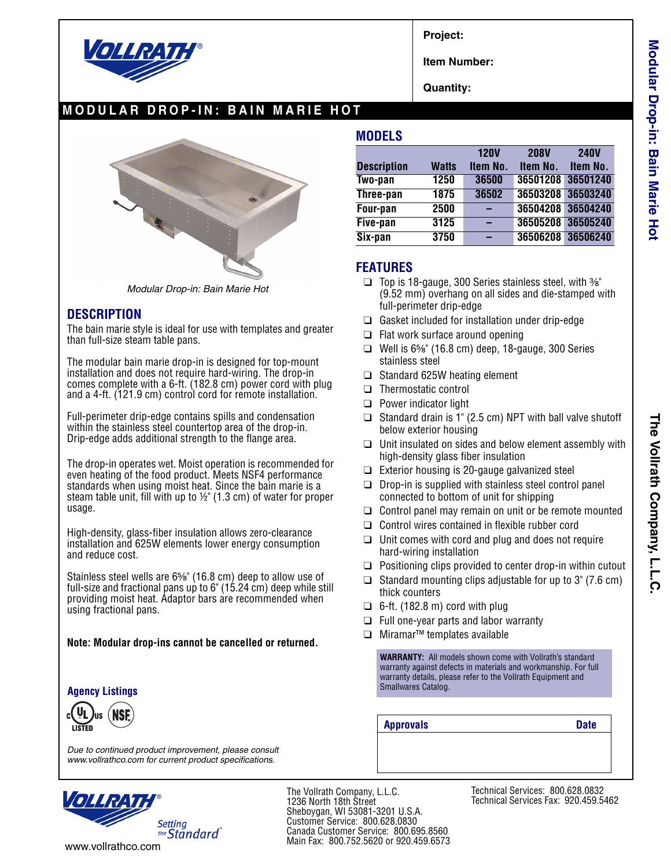

**Project:**

**Item Number:**

**Quantity:**

## **MODULAR DROP-IN: BAIN MARIE HOT**



*Modular Drop-in: Bain Marie Hot*

## **DESCRIPTION**

The bain marie style is ideal for use with templates and greater than full-size steam table pans.

The modular bain marie drop-in is designed for top-mount installation and does not require hard-wiring. The drop-in comes complete with a 6-ft. (182.8 cm) power cord with plug and a 4-ft. (121.9 cm) control cord for remote installation.

Full-perimeter drip-edge contains spills and condensation within the stainless steel countertop area of the drop-in. Drip-edge adds additional strength to the flange area.

The drop-in operates wet. Moist operation is recommended for even heating of the food product. Meets NSF4 performance standards when using moist heat. Since the bain marie is a steam table unit, fill with up to ½" (1.3 cm) of water for proper usage.

High-density, glass-fiber insulation allows zero-clearance installation and 625W elements lower energy consumption and reduce cost.

Stainless steel wells are 6<sup>5</sup>/<sup>8</sup> (16.8 cm) deep to allow use of full-size and fractional pans up to 6" (15.24 cm) deep while still providing moist heat. Adaptor bars are recommended when using fractional pans.

#### **Note: Modular drop-ins cannot be cancelled or returned.**

### **Agency Listings**

*Due to continued product improvement, please consult www.vollrathco.com for current product specifications.*



The Vollrath Company, L.L.C. 1236 North 18th Street Sheboygan, WI 53081-3201 U.S.A. Customer Service: 800.628.0830 Canada Customer Service: 800.695.8560 Main Fax: 800.752.5620 or 920.459.6573

**MODELS**

|                    |              | <b>120V</b> | <b>208V</b> | <b>240V</b>       |
|--------------------|--------------|-------------|-------------|-------------------|
| <b>Description</b> | <b>Watts</b> | Item No.    | Item No.    | Item No.          |
| Two-pan            | 1250         | 36500       |             | 36501208 36501240 |
| Three-pan          | 1875         | 36502       |             | 36503208 36503240 |
| Four-pan           | 2500         |             |             | 36504208 36504240 |
| Five-pan           | 3125         |             |             | 36505208 36505240 |
| Six-pan            | 3750         |             |             | 36506208 36506240 |

## **FEATURES**

- ❑ Top is 18-gauge, 300 Series stainless steel, with ³⁄₈" (9.52 mm) overhang on all sides and die-stamped with full-perimeter drip-edge
- ❑ Gasket included for installation under drip-edge
- ❑ Flat work surface around opening
- $\Box$  Well is 6\%" (16.8 cm) deep, 18-gauge, 300 Series stainless steel
- ❑ Standard 625W heating element
- ❑ Thermostatic control
- ❑ Power indicator light
- ❑ Standard drain is 1" (2.5 cm) NPT with ball valve shutoff below exterior housing
- ❑ Unit insulated on sides and below element assembly with high-density glass fiber insulation
- ❑ Exterior housing is 20-gauge galvanized steel
- ❑ Drop-in is supplied with stainless steel control panel connected to bottom of unit for shipping
- ❑ Control panel may remain on unit or be remote mounted
- ❑ Control wires contained in flexible rubber cord
- $\Box$  Unit comes with cord and plug and does not require hard-wiring installation
- ❑ Positioning clips provided to center drop-in within cutout
- ❑ Standard mounting clips adjustable for up to 3" (7.6 cm) thick counters
- $\Box$  6-ft. (182.8 m) cord with plug
- ❑ Full one-year parts and labor warranty
- ❑ Miramar™ templates available

**WARRANTY:** All models shown come with Vollrath's standard warranty against defects in materials and workmanship. For full warranty details, please refer to the Vollrath Equipment and Smallwares Catalog.

**Approvals Date**